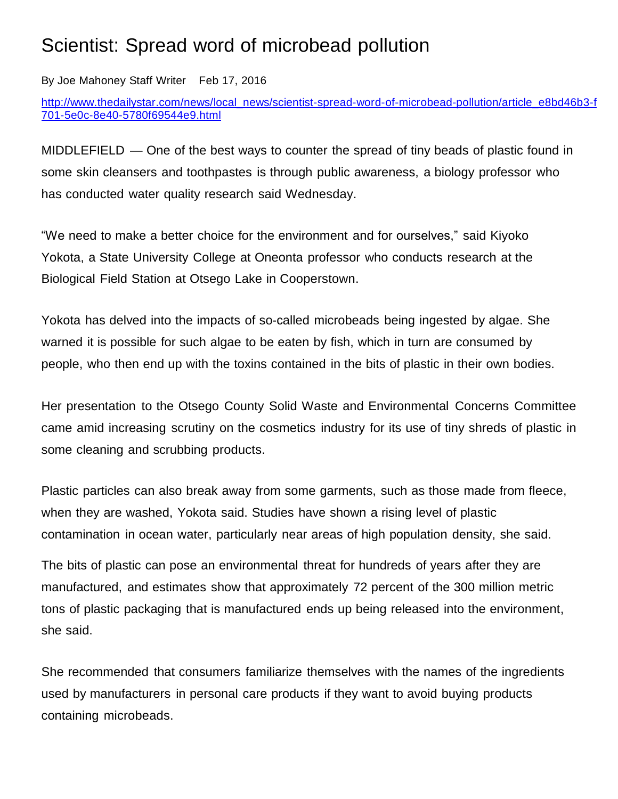## Scientist: Spread word of microbead pollution

By Joe [Mahoney](https://thedailystar-dot-com.bloxcms.com/users/profile/Joe%20Mahoney) Staff Writer Feb 17, 2016

[http://www.thedailystar.com/news/local\\_news/scientist-spread-word-of-microbead-pollution/article\\_e8bd46b3-f](http://www.thedailystar.com/news/local_news/scientist­spread­word­of­microbead­pollution/article_e8bd46b3­f701­5e0c­8e40­5780f69544e9.html) [701-5e0c-8e40-5780f69544e9.html](http://www.thedailystar.com/news/local_news/scientist­spread­word­of­microbead­pollution/article_e8bd46b3­f701­5e0c­8e40­5780f69544e9.html)

MIDDLEFIELD — One of the best ways to counter the spread of tiny beads of plastic found in some skin cleansers and toothpastes is through public awareness, a biology professor who has conducted water quality research said Wednesday.

"We need to make a better choice for the environment and for ourselves," said Kiyoko Yokota, a State University College at Oneonta professor who conducts research at the Biological Field Station at Otsego Lake in Cooperstown.

Yokota has delved into the impacts of so-called microbeads being ingested by algae. She warned it is possible for such algae to be eaten by fish, which in turn are consumed by people, who then end up with the toxins contained in the bits of plastic in their own bodies.

Her presentation to the Otsego County Solid Waste and Environmental Concerns Committee came amid increasing scrutiny on the cosmetics industry for its use of tiny shreds of plastic in some cleaning and scrubbing products.

Plastic particles can also break away from some garments, such as those made from fleece, when they are washed, Yokota said. Studies have shown a rising level of plastic contamination in ocean water, particularly near areas of high population density, she said.

The bits of plastic can pose an environmental threat for hundreds of years after they are manufactured, and estimates show that approximately 72 percent of the 300 million metric tons of plastic packaging that is manufactured ends up being released into the environment, she said.

She recommended that consumers familiarize themselves with the names of the ingredients used by manufacturers in personal care products if they want to avoid buying products containing microbeads.